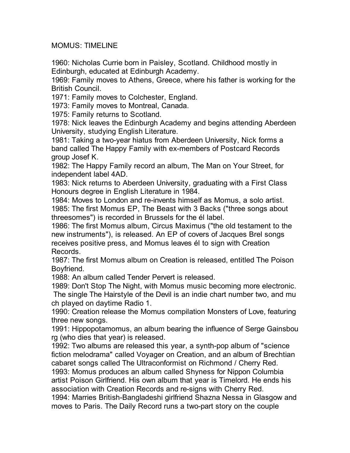MOMUS: TIMELINE

1960: Nicholas Currie born in Paisley, Scotland. Childhood mostly in Edinburgh, educated at Edinburgh Academy.

1969: Family moves to Athens, Greece, where his father is working for the British Council.

1971: Family moves to Colchester, England.

1973: Family moves to Montreal, Canada.

1975: Family returns to Scotland.

1978: Nick leaves the Edinburgh Academy and begins attending Aberdeen University, studying English Literature.

1981: Taking a two-year hiatus from Aberdeen University, Nick forms a band called The Happy Family with ex-members of Postcard Records group Josef K.

1982: The Happy Family record an album, The Man on Your Street, for independent label 4AD.

1983: Nick returns to Aberdeen University, graduating with a First Class Honours degree in English Literature in 1984.

1984: Moves to London and re-invents himself as Momus, a solo artist. 1985: The first Momus EP, The Beast with 3 Backs ("three songs about threesomes") is recorded in Brussels for the él label.

1986: The first Momus album, Circus Maximus ("the old testament to the new instruments"), is released. An EP of covers of Jacques Brel songs receives positive press, and Momus leaves él to sign with Creation Records.

1987: The first Momus album on Creation is released, entitled The Poison Boyfriend.

1988: An album called Tender Pervert is released.

1989: Don't Stop The Night, with Momus music becoming more electronic. The single The Hairstyle of the Devil is an indie chart number two, and mu ch played on daytime Radio 1.

1990: Creation release the Momus compilation Monsters of Love, featuring three new songs.

1991: Hippopotamomus, an album bearing the influence of Serge Gainsbou rg (who dies that year) is released.

1992: Two albums are released this year, a synth-pop album of "science fiction melodrama" called Voyager on Creation, and an album of Brechtian cabaret songs called The Ultraconformist on Richmond / Cherry Red.

1993: Momus produces an album called Shyness for Nippon Columbia artist Poison Girlfriend. His own album that year is Timelord. He ends his association with Creation Records and re-signs with Cherry Red.

1994: Marries British-Bangladeshi girlfriend Shazna Nessa in Glasgow and moves to Paris. The Daily Record runs a two-part story on the couple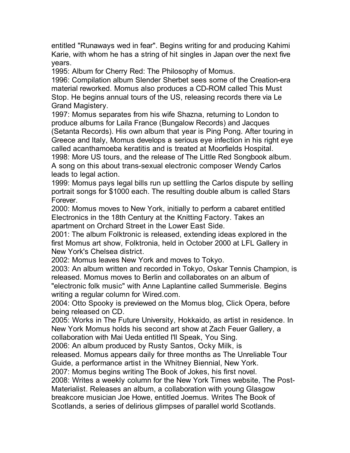entitled "Runaways wed in fear". Begins writing for and producing Kahimi Karie, with whom he has a string of hit singles in Japan over the next five years.

1995: Album for Cherry Red: The Philosophy of Momus.

1996: Compilation album Slender Sherbet sees some of the Creation-era material reworked. Momus also produces a CD-ROM called This Must Stop. He begins annual tours of the US, releasing records there via Le Grand Magistery.

1997: Momus separates from his wife Shazna, returning to London to produce albums for Laila France (Bungalow Records) and Jacques (Setanta Records). His own album that year is Ping Pong. After touring in Greece and Italy, Momus develops a serious eye infection in his right eye called acanthamoeba keratitis and is treated at Moorfields Hospital. 1998: More US tours, and the release of The Little Red Songbook album.

A song on this about trans-sexual electronic composer Wendy Carlos leads to legal action.

1999: Momus pays legal bills run up settling the Carlos dispute by selling portrait songs for \$1000 each. The resulting double album is called Stars Forever.

2000: Momus moves to New York, initially to perform a cabaret entitled Electronics in the 18th Century at the Knitting Factory. Takes an apartment on Orchard Street in the Lower East Side.

2001: The album Folktronic is released, extending ideas explored in the first Momus art show, Folktronia, held in October 2000 at LFL Gallery in New York's Chelsea district.

2002: Momus leaves New York and moves to Tokyo.

2003: An album written and recorded in Tokyo, Oskar Tennis Champion, is released. Momus moves to Berlin and collaborates on an album of

"electronic folk music" with Anne Laplantine called Summerisle. Begins writing a regular column for Wired.com.

2004: Otto Spooky is previewed on the Momus blog, Click Opera, before being released on CD.

2005: Works in The Future University, Hokkaido, as artist in residence. In New York Momus holds his second art show at Zach Feuer Gallery, a collaboration with Mai Ueda entitled I'll Speak, You Sing.

2006: An album produced by Rusty Santos, Ocky Milk, is

released. Momus appears daily for three months as The Unreliable Tour Guide, a performance artist in the Whitney Biennial, New York.

2007: Momus begins writing The Book of Jokes, his first novel.

2008: Writes a weekly column for the New York Times website, The Post-Materialist. Releases an album, a collaboration with young Glasgow breakcore musician Joe Howe, entitled Joemus. Writes The Book of Scotlands, a series of delirious glimpses of parallel world Scotlands.